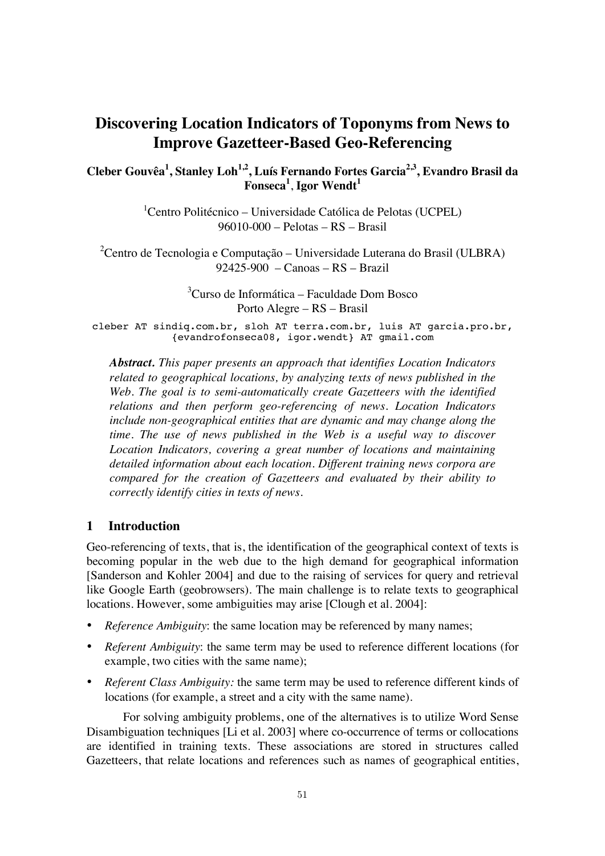# **Discovering Location Indicators of Toponyms from News to Improve Gazetteer-Based Geo-Referencing**

**Cleber Gouvêa1 , Stanley Loh1,2, Luís Fernando Fortes Garcia2,3, Evandro Brasil da**   $\boldsymbol{\mathrm{Fonseca}}^1$ , **Igor Wendt**<sup>1</sup>

> <sup>1</sup>Centro Politécnico – Universidade Católica de Pelotas (UCPEL) 96010-000 – Pelotas – RS – Brasil

<sup>2</sup> Centro de Tecnologia e Computação – Universidade Luterana do Brasil (ULBRA) 92425-900 – Canoas – RS – Brazil

> 3 Curso de Informática – Faculdade Dom Bosco Porto Alegre – RS – Brasil

cleber AT sindiq.com.br, sloh AT terra.com.br, luis AT garcia.pro.br, {evandrofonseca08, igor.wendt} AT gmail.com

*Abstract. This paper presents an approach that identifies Location Indicators related to geographical locations, by analyzing texts of news published in the Web. The goal is to semi-automatically create Gazetteers with the identified relations and then perform geo-referencing of news. Location Indicators include non-geographical entities that are dynamic and may change along the time. The use of news published in the Web is a useful way to discover Location Indicators, covering a great number of locations and maintaining detailed information about each location. Different training news corpora are compared for the creation of Gazetteers and evaluated by their ability to correctly identify cities in texts of news.* 

## **1 Introduction**

Geo-referencing of texts, that is, the identification of the geographical context of texts is becoming popular in the web due to the high demand for geographical information [Sanderson and Kohler 2004] and due to the raising of services for query and retrieval like Google Earth (geobrowsers). The main challenge is to relate texts to geographical locations. However, some ambiguities may arise [Clough et al. 2004]:

- *Reference Ambiguity*: the same location may be referenced by many names;
- *Referent Ambiguity*: the same term may be used to reference different locations (for example, two cities with the same name);
- *Referent Class Ambiguity:* the same term may be used to reference different kinds of locations (for example, a street and a city with the same name).

 For solving ambiguity problems, one of the alternatives is to utilize Word Sense Disambiguation techniques [Li et al. 2003] where co-occurrence of terms or collocations are identified in training texts. These associations are stored in structures called Gazetteers, that relate locations and references such as names of geographical entities,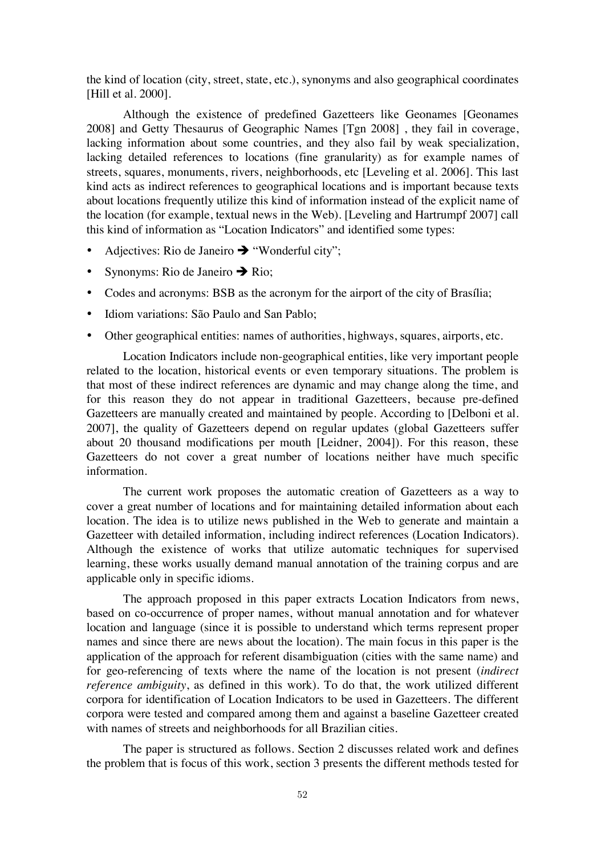the kind of location (city, street, state, etc.), synonyms and also geographical coordinates [Hill et al. 2000].

 Although the existence of predefined Gazetteers like Geonames [Geonames 2008] and Getty Thesaurus of Geographic Names [Tgn 2008] , they fail in coverage, lacking information about some countries, and they also fail by weak specialization, lacking detailed references to locations (fine granularity) as for example names of streets, squares, monuments, rivers, neighborhoods, etc [Leveling et al. 2006]. This last kind acts as indirect references to geographical locations and is important because texts about locations frequently utilize this kind of information instead of the explicit name of the location (for example, textual news in the Web). [Leveling and Hartrumpf 2007] call this kind of information as "Location Indicators" and identified some types:

- Adjectives: Rio de Janeiro  $\rightarrow$  "Wonderful city";
- Synonyms: Rio de Janeiro  $\rightarrow$  Rio;
- Codes and acronyms: BSB as the acronym for the airport of the city of Brasília;
- Idiom variations: São Paulo and San Pablo;
- Other geographical entities: names of authorities, highways, squares, airports, etc.

 Location Indicators include non-geographical entities, like very important people related to the location, historical events or even temporary situations. The problem is that most of these indirect references are dynamic and may change along the time, and for this reason they do not appear in traditional Gazetteers, because pre-defined Gazetteers are manually created and maintained by people. According to [Delboni et al. 2007], the quality of Gazetteers depend on regular updates (global Gazetteers suffer about 20 thousand modifications per mouth [Leidner, 2004]). For this reason, these Gazetteers do not cover a great number of locations neither have much specific information.

 The current work proposes the automatic creation of Gazetteers as a way to cover a great number of locations and for maintaining detailed information about each location. The idea is to utilize news published in the Web to generate and maintain a Gazetteer with detailed information, including indirect references (Location Indicators). Although the existence of works that utilize automatic techniques for supervised learning, these works usually demand manual annotation of the training corpus and are applicable only in specific idioms.

 The approach proposed in this paper extracts Location Indicators from news, based on co-occurrence of proper names, without manual annotation and for whatever location and language (since it is possible to understand which terms represent proper names and since there are news about the location). The main focus in this paper is the application of the approach for referent disambiguation (cities with the same name) and for geo-referencing of texts where the name of the location is not present (*indirect reference ambiguity*, as defined in this work). To do that, the work utilized different corpora for identification of Location Indicators to be used in Gazetteers. The different corpora were tested and compared among them and against a baseline Gazetteer created with names of streets and neighborhoods for all Brazilian cities.

 The paper is structured as follows. Section 2 discusses related work and defines the problem that is focus of this work, section 3 presents the different methods tested for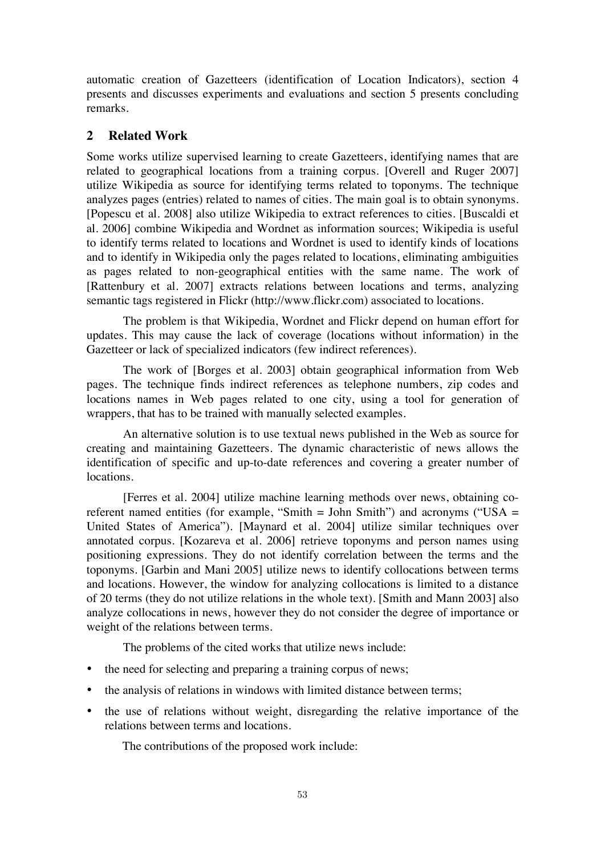automatic creation of Gazetteers (identification of Location Indicators), section 4 presents and discusses experiments and evaluations and section 5 presents concluding remarks.

# **2 Related Work**

Some works utilize supervised learning to create Gazetteers, identifying names that are related to geographical locations from a training corpus. [Overell and Ruger 2007] utilize Wikipedia as source for identifying terms related to toponyms. The technique analyzes pages (entries) related to names of cities. The main goal is to obtain synonyms. [Popescu et al. 2008] also utilize Wikipedia to extract references to cities. [Buscaldi et al. 2006] combine Wikipedia and Wordnet as information sources; Wikipedia is useful to identify terms related to locations and Wordnet is used to identify kinds of locations and to identify in Wikipedia only the pages related to locations, eliminating ambiguities as pages related to non-geographical entities with the same name. The work of [Rattenbury et al. 2007] extracts relations between locations and terms, analyzing semantic tags registered in Flickr (http://www.flickr.com) associated to locations.

 The problem is that Wikipedia, Wordnet and Flickr depend on human effort for updates. This may cause the lack of coverage (locations without information) in the Gazetteer or lack of specialized indicators (few indirect references).

 The work of [Borges et al. 2003] obtain geographical information from Web pages. The technique finds indirect references as telephone numbers, zip codes and locations names in Web pages related to one city, using a tool for generation of wrappers, that has to be trained with manually selected examples.

 An alternative solution is to use textual news published in the Web as source for creating and maintaining Gazetteers. The dynamic characteristic of news allows the identification of specific and up-to-date references and covering a greater number of locations.

 [Ferres et al. 2004] utilize machine learning methods over news, obtaining coreferent named entities (for example, "Smith  $=$  John Smith") and acronyms ("USA  $=$ United States of America"). [Maynard et al. 2004] utilize similar techniques over annotated corpus. [Kozareva et al. 2006] retrieve toponyms and person names using positioning expressions. They do not identify correlation between the terms and the toponyms. [Garbin and Mani 2005] utilize news to identify collocations between terms and locations. However, the window for analyzing collocations is limited to a distance of 20 terms (they do not utilize relations in the whole text). [Smith and Mann 2003] also analyze collocations in news, however they do not consider the degree of importance or weight of the relations between terms.

The problems of the cited works that utilize news include:

- the need for selecting and preparing a training corpus of news;
- the analysis of relations in windows with limited distance between terms;
- the use of relations without weight, disregarding the relative importance of the relations between terms and locations.

The contributions of the proposed work include: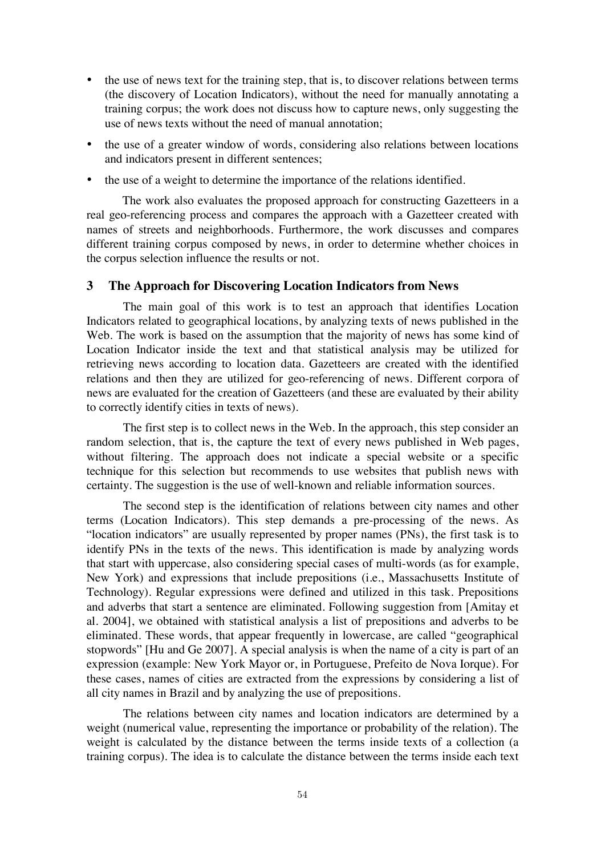- the use of news text for the training step, that is, to discover relations between terms (the discovery of Location Indicators), without the need for manually annotating a training corpus; the work does not discuss how to capture news, only suggesting the use of news texts without the need of manual annotation;
- the use of a greater window of words, considering also relations between locations and indicators present in different sentences;
- the use of a weight to determine the importance of the relations identified.

The work also evaluates the proposed approach for constructing Gazetteers in a real geo-referencing process and compares the approach with a Gazetteer created with names of streets and neighborhoods. Furthermore, the work discusses and compares different training corpus composed by news, in order to determine whether choices in the corpus selection influence the results or not.

## **3 The Approach for Discovering Location Indicators from News**

 The main goal of this work is to test an approach that identifies Location Indicators related to geographical locations, by analyzing texts of news published in the Web. The work is based on the assumption that the majority of news has some kind of Location Indicator inside the text and that statistical analysis may be utilized for retrieving news according to location data. Gazetteers are created with the identified relations and then they are utilized for geo-referencing of news. Different corpora of news are evaluated for the creation of Gazetteers (and these are evaluated by their ability to correctly identify cities in texts of news).

 The first step is to collect news in the Web. In the approach, this step consider an random selection, that is, the capture the text of every news published in Web pages, without filtering. The approach does not indicate a special website or a specific technique for this selection but recommends to use websites that publish news with certainty. The suggestion is the use of well-known and reliable information sources.

 The second step is the identification of relations between city names and other terms (Location Indicators). This step demands a pre-processing of the news. As "location indicators" are usually represented by proper names (PNs), the first task is to identify PNs in the texts of the news. This identification is made by analyzing words that start with uppercase, also considering special cases of multi-words (as for example, New York) and expressions that include prepositions (i.e., Massachusetts Institute of Technology). Regular expressions were defined and utilized in this task. Prepositions and adverbs that start a sentence are eliminated. Following suggestion from [Amitay et al. 2004], we obtained with statistical analysis a list of prepositions and adverbs to be eliminated. These words, that appear frequently in lowercase, are called "geographical stopwords" [Hu and Ge 2007]. A special analysis is when the name of a city is part of an expression (example: New York Mayor or, in Portuguese, Prefeito de Nova Iorque). For these cases, names of cities are extracted from the expressions by considering a list of all city names in Brazil and by analyzing the use of prepositions.

 The relations between city names and location indicators are determined by a weight (numerical value, representing the importance or probability of the relation). The weight is calculated by the distance between the terms inside texts of a collection (a training corpus). The idea is to calculate the distance between the terms inside each text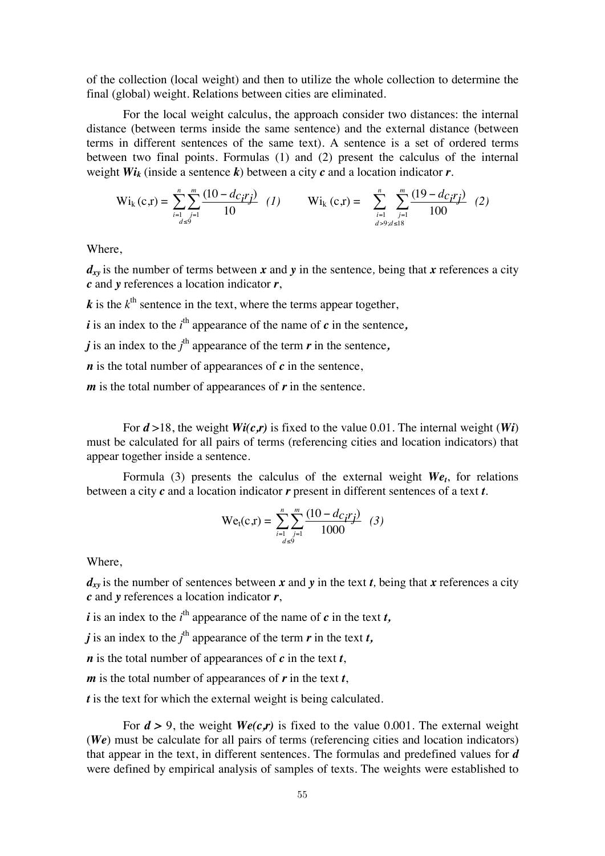of the collection (local weight) and then to utilize the whole collection to determine the final (global) weight. Relations between cities are eliminated.

 For the local weight calculus, the approach consider two distances: the internal distance (between terms inside the same sentence) and the external distance (between terms in different sentences of the same text). A sentence is a set of ordered terms between two final points. Formulas (1) and (2) present the calculus of the internal weight  $Wi_k$  (inside a sentence k) between a city  $c$  and a location indicator  $r$ .

$$
\text{Wi}_{k}(c,r) = \sum_{\substack{i=1 \ i \leq d \leq 9}}^{n} \sum_{j=1}^{m} \frac{(10 - d_{Cj}r_j)}{10} \quad (1) \qquad \text{Wi}_{k}(c,r) = \sum_{\substack{i=1 \ i > 9 \text{ odd}}^{n} \sum_{j=1}^{m} \frac{(19 - d_{Cj}r_j)}{100} \quad (2)
$$

Where,

 $d_{xy}$  is the number of terms between *x* and *y* in the sentence, being that *x* references a city *c* and *y* references a location indicator *r*,

 $k$  is the  $k^{\text{th}}$  sentence in the text, where the terms appear together,

 $\vec{i}$  is an index to the  $i^{\text{th}}$  appearance of the name of  $\vec{c}$  in the sentence,

*j* is an index to the  $j^{\text{th}}$  appearance of the term  $r$  in the sentence,

*n* is the total number of appearances of *c* in the sentence,

*m* is the total number of appearances of *r* in the sentence.

For  $d > 18$ , the weight  $Wi(c,r)$  is fixed to the value 0.01. The internal weight (*Wi*) must be calculated for all pairs of terms (referencing cities and location indicators) that appear together inside a sentence.

Formula (3) presents the calculus of the external weight  $W_{\ell_1}$ , for relations between a city *c* and a location indicator *r* present in different sentences of a text *t*.

$$
Wet(c,r) = \sum_{\substack{i=1 \text{odd } j=1}}^{n} \frac{(10 - d_{C_i}r_j)}{1000} \quad (3)
$$

Where,

 $d_{xy}$  is the number of sentences between *x* and *y* in the text *t*, being that *x* references a city *c* and *y* references a location indicator *r*,

*i* is an index to the  $i^{\text{th}}$  appearance of the name of  $c$  in the text  $t$ ,

*j* is an index to the  $j^{\text{th}}$  appearance of the term  $r$  in the text  $t$ ,

*n* is the total number of appearances of *c* in the text *t*,

*m* is the total number of appearances of *r* in the text *t*,

*t* is the text for which the external weight is being calculated.

For  $d > 9$ , the weight  $We$ (*c,r*) is fixed to the value 0.001. The external weight (*We*) must be calculate for all pairs of terms (referencing cities and location indicators) that appear in the text, in different sentences. The formulas and predefined values for *d*  were defined by empirical analysis of samples of texts. The weights were established to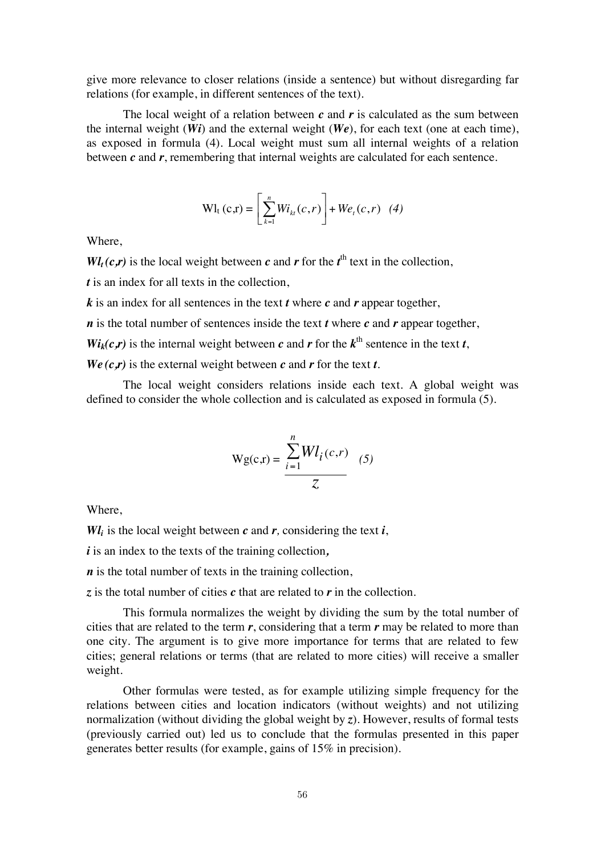give more relevance to closer relations (inside a sentence) but without disregarding far relations (for example, in different sentences of the text).

 The local weight of a relation between *c* and *r* is calculated as the sum between the internal weight  $(Wi)$  and the external weight  $(We)$ , for each text (one at each time), as exposed in formula (4). Local weight must sum all internal weights of a relation between *c* and *r*, remembering that internal weights are calculated for each sentence.

$$
Wl_{t}(c,r) = \left[\sum_{k=1}^{n} Wi_{kt}(c,r)\right] + W e_{t}(c,r) \quad (4)
$$

Where,

 $W_l(c,r)$  is the local weight between *c* and *r* for the *t*<sup>th</sup> text in the collection,

*t* is an index for all texts in the collection.

*k* is an index for all sentences in the text *t* where *c* and *r* appear together,

*n* is the total number of sentences inside the text *t* where *c* and *r* appear together,

 $W_i(c,r)$  is the internal weight between *c* and *r* for the  $k^{\text{th}}$  sentence in the text *t*,

 $We$   $(c, r)$  is the external weight between  $c$  and  $r$  for the text  $t$ .

 The local weight considers relations inside each text. A global weight was defined to consider the whole collection and is calculated as exposed in formula (5).

$$
Wg(c,r) = \frac{\sum_{i=1}^{n} Wl_i(c,r)}{Z}
$$
 (5)

Where,

*Wl<sub>i</sub>* is the local weight between  $c$  and  $r$ , considering the text *i*,

*i* is an index to the texts of the training collection*,* 

*n* is the total number of texts in the training collection,

*z* is the total number of cities *c* that are related to *r* in the collection.

 This formula normalizes the weight by dividing the sum by the total number of cities that are related to the term *r*, considering that a term *r* may be related to more than one city. The argument is to give more importance for terms that are related to few cities; general relations or terms (that are related to more cities) will receive a smaller weight.

 Other formulas were tested, as for example utilizing simple frequency for the relations between cities and location indicators (without weights) and not utilizing normalization (without dividing the global weight by *z*). However, results of formal tests (previously carried out) led us to conclude that the formulas presented in this paper generates better results (for example, gains of 15% in precision).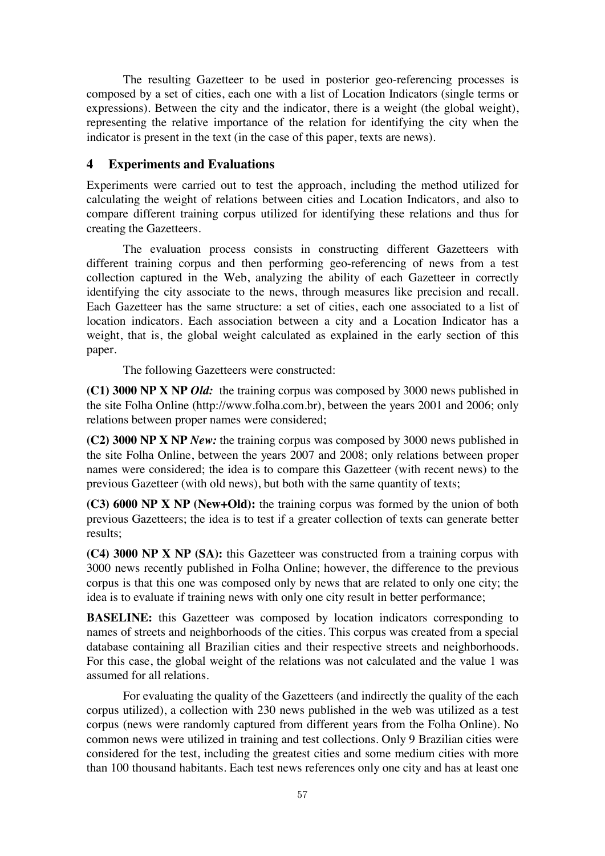The resulting Gazetteer to be used in posterior geo-referencing processes is composed by a set of cities, each one with a list of Location Indicators (single terms or expressions). Between the city and the indicator, there is a weight (the global weight), representing the relative importance of the relation for identifying the city when the indicator is present in the text (in the case of this paper, texts are news).

# **4 Experiments and Evaluations**

Experiments were carried out to test the approach, including the method utilized for calculating the weight of relations between cities and Location Indicators, and also to compare different training corpus utilized for identifying these relations and thus for creating the Gazetteers.

 The evaluation process consists in constructing different Gazetteers with different training corpus and then performing geo-referencing of news from a test collection captured in the Web, analyzing the ability of each Gazetteer in correctly identifying the city associate to the news, through measures like precision and recall. Each Gazetteer has the same structure: a set of cities, each one associated to a list of location indicators. Each association between a city and a Location Indicator has a weight, that is, the global weight calculated as explained in the early section of this paper.

The following Gazetteers were constructed:

**(C1) 3000 NP X NP** *Old:* the training corpus was composed by 3000 news published in the site Folha Online (http://www.folha.com.br), between the years 2001 and 2006; only relations between proper names were considered;

**(C2) 3000 NP X NP** *New:* the training corpus was composed by 3000 news published in the site Folha Online, between the years 2007 and 2008; only relations between proper names were considered; the idea is to compare this Gazetteer (with recent news) to the previous Gazetteer (with old news), but both with the same quantity of texts;

**(C3) 6000 NP X NP (New+Old):** the training corpus was formed by the union of both previous Gazetteers; the idea is to test if a greater collection of texts can generate better results;

**(C4) 3000 NP X NP (SA):** this Gazetteer was constructed from a training corpus with 3000 news recently published in Folha Online; however, the difference to the previous corpus is that this one was composed only by news that are related to only one city; the idea is to evaluate if training news with only one city result in better performance;

**BASELINE:** this Gazetteer was composed by location indicators corresponding to names of streets and neighborhoods of the cities. This corpus was created from a special database containing all Brazilian cities and their respective streets and neighborhoods. For this case, the global weight of the relations was not calculated and the value 1 was assumed for all relations.

 For evaluating the quality of the Gazetteers (and indirectly the quality of the each corpus utilized), a collection with 230 news published in the web was utilized as a test corpus (news were randomly captured from different years from the Folha Online). No common news were utilized in training and test collections. Only 9 Brazilian cities were considered for the test, including the greatest cities and some medium cities with more than 100 thousand habitants. Each test news references only one city and has at least one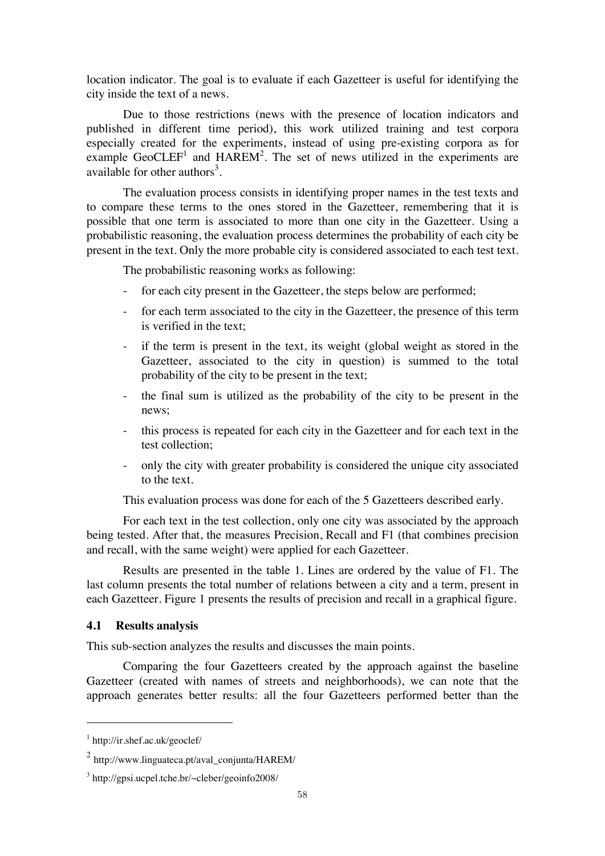location indicator. The goal is to evaluate if each Gazetteer is useful for identifying the city inside the text of a news.

 Due to those restrictions (news with the presence of location indicators and published in different time period), this work utilized training and test corpora especially created for the experiments, instead of using pre-existing corpora as for example GeoCLEF<sup>1</sup> and HAREM<sup>2</sup>. The set of news utilized in the experiments are available for other authors<sup>3</sup>.

 The evaluation process consists in identifying proper names in the test texts and to compare these terms to the ones stored in the Gazetteer, remembering that it is possible that one term is associated to more than one city in the Gazetteer. Using a probabilistic reasoning, the evaluation process determines the probability of each city be present in the text. Only the more probable city is considered associated to each test text.

The probabilistic reasoning works as following:

- for each city present in the Gazetteer, the steps below are performed;
- for each term associated to the city in the Gazetteer, the presence of this term is verified in the text;
- if the term is present in the text, its weight (global weight as stored in the Gazetteer, associated to the city in question) is summed to the total probability of the city to be present in the text;
- the final sum is utilized as the probability of the city to be present in the news;
- this process is repeated for each city in the Gazetteer and for each text in the test collection;
- only the city with greater probability is considered the unique city associated to the text.

This evaluation process was done for each of the 5 Gazetteers described early.

 For each text in the test collection, only one city was associated by the approach being tested. After that, the measures Precision, Recall and F1 (that combines precision and recall, with the same weight) were applied for each Gazetteer.

 Results are presented in the table 1. Lines are ordered by the value of F1. The last column presents the total number of relations between a city and a term, present in each Gazetteer. Figure 1 presents the results of precision and recall in a graphical figure.

#### **4.1 Results analysis**

This sub-section analyzes the results and discusses the main points.

 Comparing the four Gazetteers created by the approach against the baseline Gazetteer (created with names of streets and neighborhoods), we can note that the approach generates better results: all the four Gazetteers performed better than the

 $\overline{a}$ 

<sup>1</sup> http://ir.shef.ac.uk/geoclef/

 $<sup>2</sup>$  http://www.linguateca.pt/aval\_conjunta/HAREM/</sup>

<sup>3</sup> http://gpsi.ucpel.tche.br/~cleber/geoinfo2008/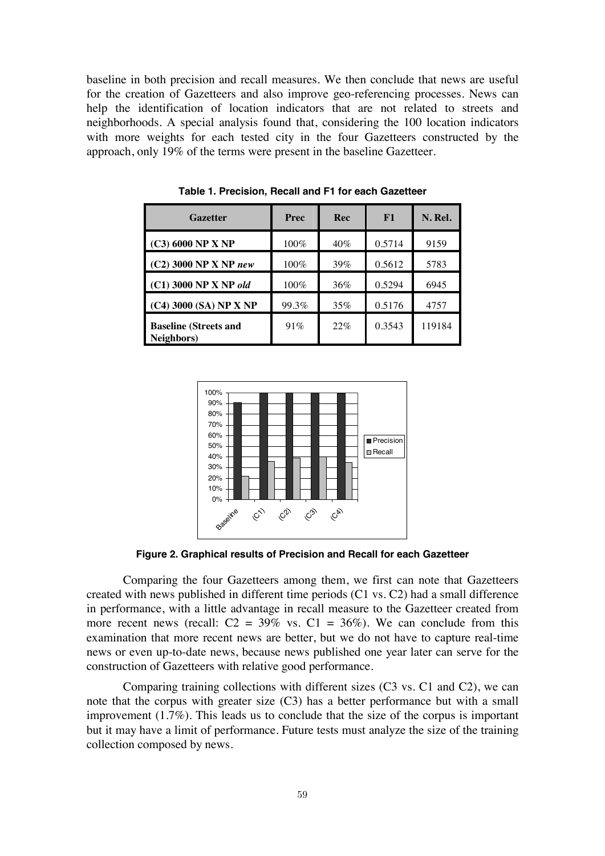baseline in both precision and recall measures. We then conclude that news are useful for the creation of Gazetteers and also improve geo-referencing processes. News can help the identification of location indicators that are not related to streets and neighborhoods. A special analysis found that, considering the 100 location indicators with more weights for each tested city in the four Gazetteers constructed by the approach, only 19% of the terms were present in the baseline Gazetteer.

| Gazetter                                   | Prec  | Rec | F1     | N. Rel. |
|--------------------------------------------|-------|-----|--------|---------|
| $(C3)$ 6000 NP X NP                        | 100%  | 40% | 0.5714 | 9159    |
| $(C2)$ 3000 NP X NP new                    | 100%  | 39% | 0.5612 | 5783    |
| $(C1)$ 3000 NP X NP old                    | 100%  | 36% | 0.5294 | 6945    |
| $(C4)$ 3000 (SA) NP X NP                   | 99.3% | 35% | 0.5176 | 4757    |
| <b>Baseline (Streets and</b><br>Neighbors) | 91%   | 22% | 0.3543 | 119184  |

**Table 1. Precision, Recall and F1 for each Gazetteer** 



**Figure 2. Graphical results of Precision and Recall for each Gazetteer** 

 Comparing the four Gazetteers among them, we first can note that Gazetteers created with news published in different time periods (C1 vs. C2) had a small difference in performance, with a little advantage in recall measure to the Gazetteer created from more recent news (recall:  $C2 = 39\%$  vs.  $C1 = 36\%$ ). We can conclude from this examination that more recent news are better, but we do not have to capture real-time news or even up-to-date news, because news published one year later can serve for the construction of Gazetteers with relative good performance.

 Comparing training collections with different sizes (C3 vs. C1 and C2), we can note that the corpus with greater size (C3) has a better performance but with a small improvement (1.7%). This leads us to conclude that the size of the corpus is important but it may have a limit of performance. Future tests must analyze the size of the training collection composed by news.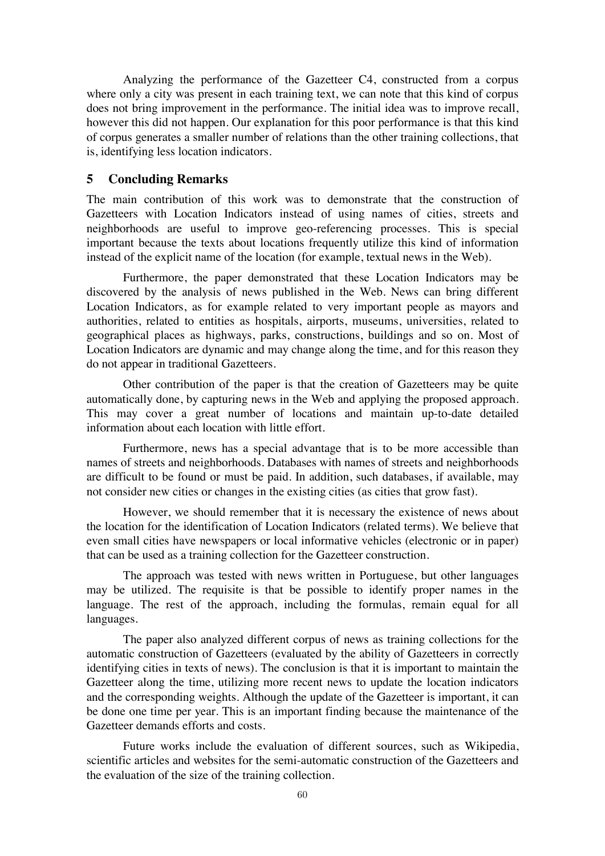Analyzing the performance of the Gazetteer C4, constructed from a corpus where only a city was present in each training text, we can note that this kind of corpus does not bring improvement in the performance. The initial idea was to improve recall, however this did not happen. Our explanation for this poor performance is that this kind of corpus generates a smaller number of relations than the other training collections, that is, identifying less location indicators.

## **5 Concluding Remarks**

The main contribution of this work was to demonstrate that the construction of Gazetteers with Location Indicators instead of using names of cities, streets and neighborhoods are useful to improve geo-referencing processes. This is special important because the texts about locations frequently utilize this kind of information instead of the explicit name of the location (for example, textual news in the Web).

 Furthermore, the paper demonstrated that these Location Indicators may be discovered by the analysis of news published in the Web. News can bring different Location Indicators, as for example related to very important people as mayors and authorities, related to entities as hospitals, airports, museums, universities, related to geographical places as highways, parks, constructions, buildings and so on. Most of Location Indicators are dynamic and may change along the time, and for this reason they do not appear in traditional Gazetteers.

 Other contribution of the paper is that the creation of Gazetteers may be quite automatically done, by capturing news in the Web and applying the proposed approach. This may cover a great number of locations and maintain up-to-date detailed information about each location with little effort.

 Furthermore, news has a special advantage that is to be more accessible than names of streets and neighborhoods. Databases with names of streets and neighborhoods are difficult to be found or must be paid. In addition, such databases, if available, may not consider new cities or changes in the existing cities (as cities that grow fast).

 However, we should remember that it is necessary the existence of news about the location for the identification of Location Indicators (related terms). We believe that even small cities have newspapers or local informative vehicles (electronic or in paper) that can be used as a training collection for the Gazetteer construction.

 The approach was tested with news written in Portuguese, but other languages may be utilized. The requisite is that be possible to identify proper names in the language. The rest of the approach, including the formulas, remain equal for all languages.

 The paper also analyzed different corpus of news as training collections for the automatic construction of Gazetteers (evaluated by the ability of Gazetteers in correctly identifying cities in texts of news). The conclusion is that it is important to maintain the Gazetteer along the time, utilizing more recent news to update the location indicators and the corresponding weights. Although the update of the Gazetteer is important, it can be done one time per year. This is an important finding because the maintenance of the Gazetteer demands efforts and costs.

 Future works include the evaluation of different sources, such as Wikipedia, scientific articles and websites for the semi-automatic construction of the Gazetteers and the evaluation of the size of the training collection.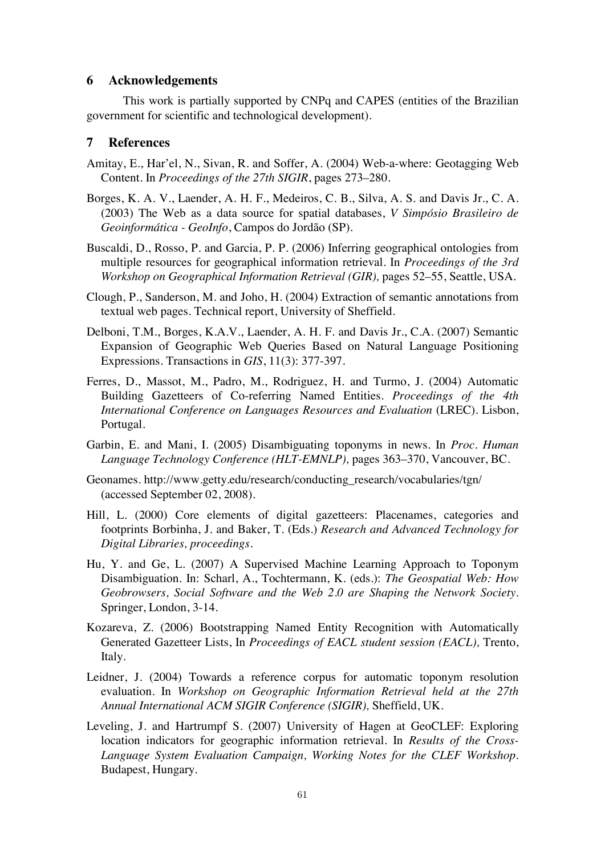### **6 Acknowledgements**

 This work is partially supported by CNPq and CAPES (entities of the Brazilian government for scientific and technological development).

### **7 References**

- Amitay, E., Har'el, N., Sivan, R. and Soffer, A. (2004) Web-a-where: Geotagging Web Content. In *Proceedings of the 27th SIGIR*, pages 273–280.
- Borges, K. A. V., Laender, A. H. F., Medeiros, C. B., Silva, A. S. and Davis Jr., C. A. (2003) The Web as a data source for spatial databases, *V Simpósio Brasileiro de Geoinformática - GeoInfo*, Campos do Jordão (SP).
- Buscaldi, D., Rosso, P. and Garcia, P. P. (2006) Inferring geographical ontologies from multiple resources for geographical information retrieval. In *Proceedings of the 3rd Workshop on Geographical Information Retrieval (GIR),* pages 52–55, Seattle, USA.
- Clough, P., Sanderson, M. and Joho, H. (2004) Extraction of semantic annotations from textual web pages. Technical report, University of Sheffield.
- Delboni, T.M., Borges, K.A.V., Laender, A. H. F. and Davis Jr., C.A. (2007) Semantic Expansion of Geographic Web Queries Based on Natural Language Positioning Expressions. Transactions in *GIS*, 11(3): 377-397.
- Ferres, D., Massot, M., Padro, M., Rodriguez, H. and Turmo, J. (2004) Automatic Building Gazetteers of Co-referring Named Entities. *Proceedings of the 4th International Conference on Languages Resources and Evaluation* (LREC). Lisbon, Portugal.
- Garbin, E. and Mani, I. (2005) Disambiguating toponyms in news. In *Proc. Human Language Technology Conference (HLT-EMNLP),* pages 363–370, Vancouver, BC.
- Geonames. http://www.getty.edu/research/conducting\_research/vocabularies/tgn/ (accessed September 02, 2008).
- Hill, L. (2000) Core elements of digital gazetteers: Placenames, categories and footprints Borbinha, J. and Baker, T. (Eds.) *Research and Advanced Technology for Digital Libraries, proceedings.*
- Hu, Y. and Ge, L. (2007) A Supervised Machine Learning Approach to Toponym Disambiguation. In: Scharl, A., Tochtermann, K. (eds.): *The Geospatial Web: How Geobrowsers, Social Software and the Web 2.0 are Shaping the Network Society*. Springer, London, 3-14.
- Kozareva, Z. (2006) Bootstrapping Named Entity Recognition with Automatically Generated Gazetteer Lists, In *Proceedings of EACL student session (EACL),* Trento, Italy.
- Leidner, J. (2004) Towards a reference corpus for automatic toponym resolution evaluation. In *Workshop on Geographic Information Retrieval held at the 27th Annual International ACM SIGIR Conference (SIGIR),* Sheffield, UK.
- Leveling, J. and Hartrumpf S. (2007) University of Hagen at GeoCLEF: Exploring location indicators for geographic information retrieval. In *Results of the Cross-Language System Evaluation Campaign, Working Notes for the CLEF Workshop*. Budapest, Hungary.